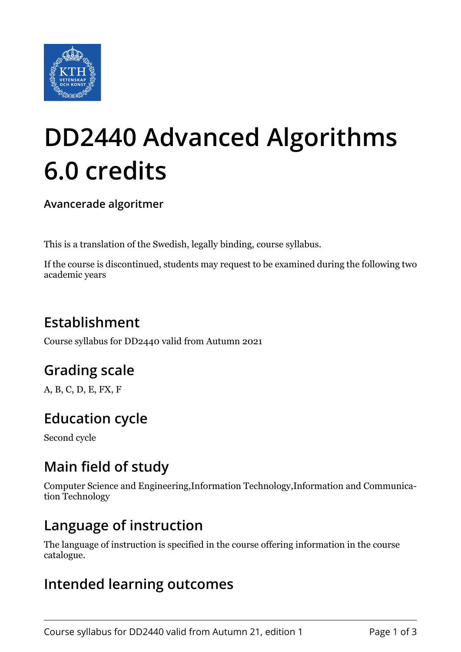

# **DD2440 Advanced Algorithms 6.0 credits**

**Avancerade algoritmer**

This is a translation of the Swedish, legally binding, course syllabus.

If the course is discontinued, students may request to be examined during the following two academic years

# **Establishment**

Course syllabus for DD2440 valid from Autumn 2021

# **Grading scale**

A, B, C, D, E, FX, F

# **Education cycle**

Second cycle

# **Main field of study**

Computer Science and Engineering,Information Technology,Information and Communication Technology

#### **Language of instruction**

The language of instruction is specified in the course offering information in the course catalogue.

#### **Intended learning outcomes**